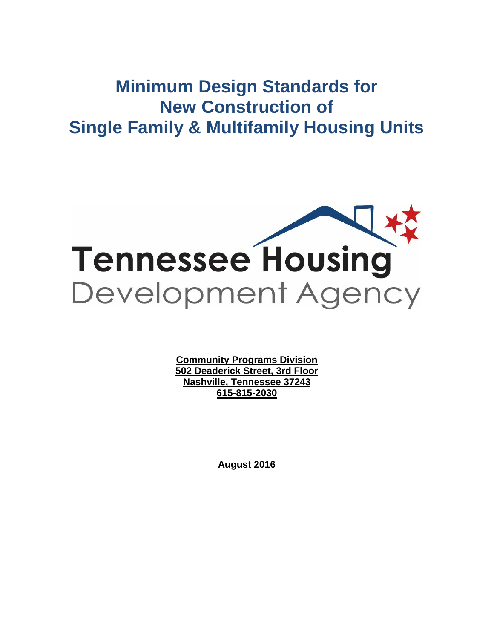# **Minimum Design Standards for New Construction of Single Family & Multifamily Housing Units**



**Community Programs Division 502 Deaderick Street, 3rd Floor Nashville, Tennessee 37243 615-815-2030**

**August 2016**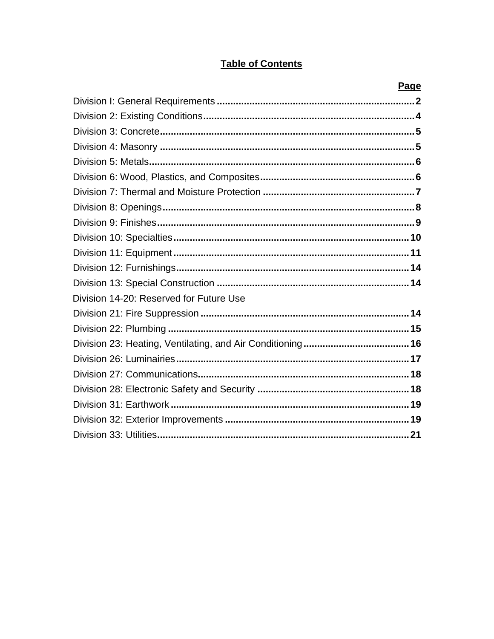## **Table of Contents**

|                                         | <u>rage</u> |
|-----------------------------------------|-------------|
|                                         |             |
|                                         |             |
|                                         |             |
|                                         |             |
|                                         |             |
|                                         |             |
|                                         |             |
|                                         |             |
|                                         |             |
|                                         |             |
|                                         |             |
|                                         |             |
|                                         |             |
| Division 14-20: Reserved for Future Use |             |
|                                         |             |
|                                         |             |
|                                         |             |
|                                         |             |
|                                         |             |
|                                         |             |
|                                         |             |
|                                         |             |
|                                         |             |
|                                         |             |

## b,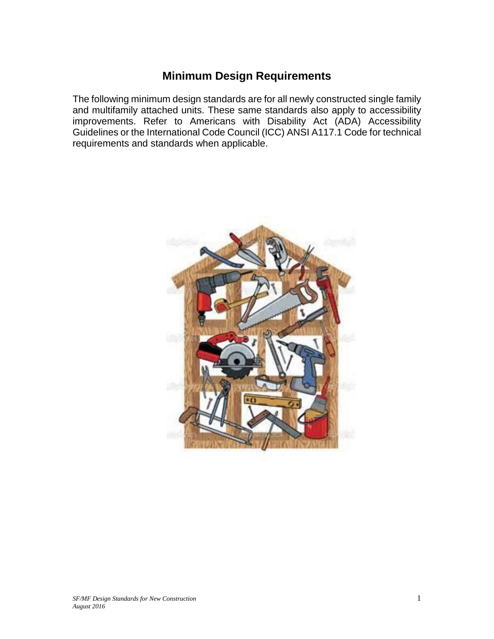## **Minimum Design Requirements**

The following minimum design standards are for all newly constructed single family and multifamily attached units. These same standards also apply to accessibility improvements. Refer to Americans with Disability Act (ADA) Accessibility Guidelines or the International Code Council (ICC) ANSI A117.1 Code for technical requirements and standards when applicable.

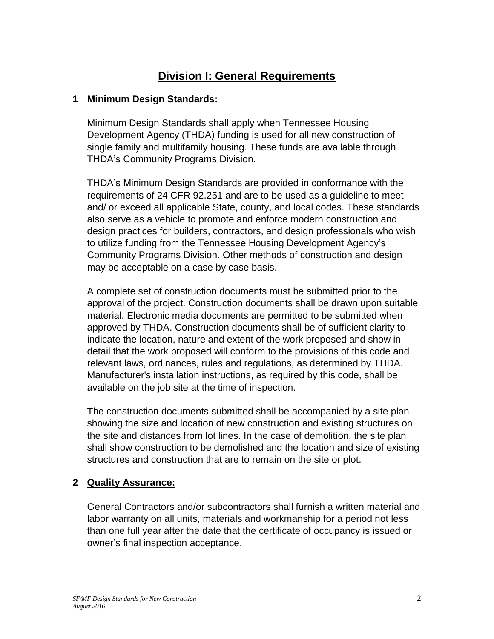## **Division I: General Requirements**

## **1 Minimum Design Standards:**

Minimum Design Standards shall apply when Tennessee Housing Development Agency (THDA) funding is used for all new construction of single family and multifamily housing. These funds are available through THDA's Community Programs Division.

THDA's Minimum Design Standards are provided in conformance with the requirements of 24 CFR 92.251 and are to be used as a guideline to meet and/ or exceed all applicable State, county, and local codes. These standards also serve as a vehicle to promote and enforce modern construction and design practices for builders, contractors, and design professionals who wish to utilize funding from the Tennessee Housing Development Agency's Community Programs Division. Other methods of construction and design may be acceptable on a case by case basis.

A complete set of construction documents must be submitted prior to the approval of the project. Construction documents shall be drawn upon suitable material. Electronic media documents are permitted to be submitted when approved by THDA. Construction documents shall be of sufficient clarity to indicate the location, nature and extent of the work proposed and show in detail that the work proposed will conform to the provisions of this code and relevant laws, ordinances, rules and regulations, as determined by THDA. Manufacturer's installation instructions, as required by this code, shall be available on the job site at the time of inspection.

The construction documents submitted shall be accompanied by a site plan showing the size and location of new construction and existing structures on the site and distances from lot lines. In the case of demolition, the site plan shall show construction to be demolished and the location and size of existing structures and construction that are to remain on the site or plot.

## **2 Quality Assurance:**

General Contractors and/or subcontractors shall furnish a written material and labor warranty on all units, materials and workmanship for a period not less than one full year after the date that the certificate of occupancy is issued or owner's final inspection acceptance.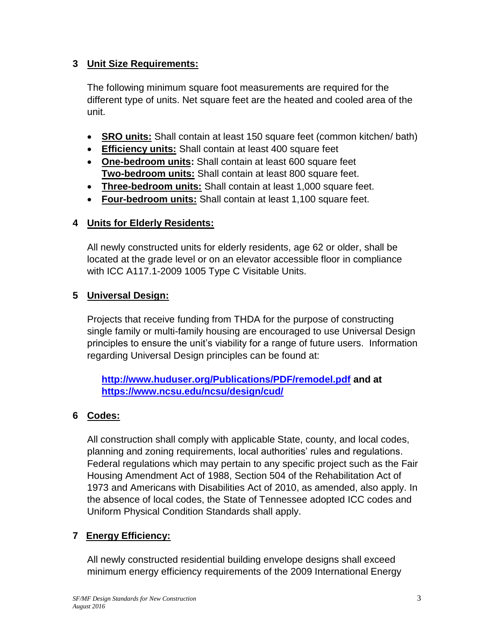## **3 Unit Size Requirements:**

The following minimum square foot measurements are required for the different type of units. Net square feet are the heated and cooled area of the unit.

- **SRO units:** Shall contain at least 150 square feet (common kitchen/ bath)
- **Efficiency units:** Shall contain at least 400 square feet
- **One-bedroom units:** Shall contain at least 600 square feet **Two-bedroom units:** Shall contain at least 800 square feet.
- **Three-bedroom units:** Shall contain at least 1,000 square feet.
- **Four-bedroom units:** Shall contain at least 1,100 square feet.

## **4 Units for Elderly Residents:**

All newly constructed units for elderly residents, age 62 or older, shall be located at the grade level or on an elevator accessible floor in compliance with ICC A117.1-2009 1005 Type C Visitable Units.

## **5 Universal Design:**

Projects that receive funding from THDA for the purpose of constructing single family or multi-family housing are encouraged to use Universal Design principles to ensure the unit's viability for a range of future users. Information regarding Universal Design principles can be found at:

**<http://www.huduser.org/Publications/PDF/remodel.pdf> and at <https://www.ncsu.edu/ncsu/design/cud/>**

## **6 Codes:**

All construction shall comply with applicable State, county, and local codes, planning and zoning requirements, local authorities' rules and regulations. Federal regulations which may pertain to any specific project such as the Fair Housing Amendment Act of 1988, Section 504 of the Rehabilitation Act of 1973 and Americans with Disabilities Act of 2010, as amended, also apply. In the absence of local codes, the State of Tennessee adopted ICC codes and Uniform Physical Condition Standards shall apply.

## **7 Energy Efficiency:**

All newly constructed residential building envelope designs shall exceed minimum energy efficiency requirements of the 2009 International Energy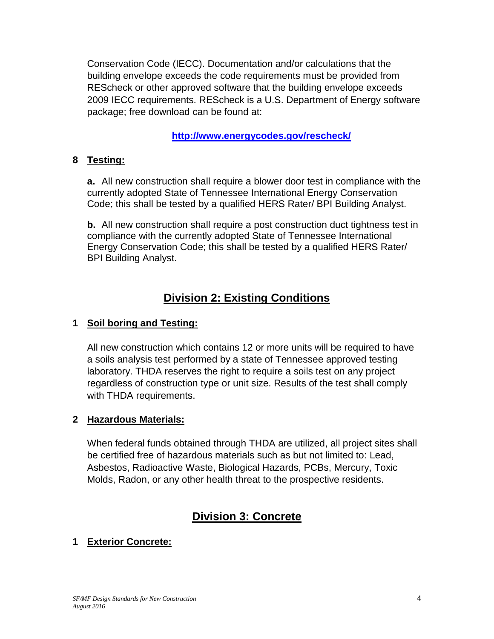Conservation Code (IECC). Documentation and/or calculations that the building envelope exceeds the code requirements must be provided from REScheck or other approved software that the building envelope exceeds 2009 IECC requirements. REScheck is a U.S. Department of Energy software package; free download can be found at:

## **<http://www.energycodes.gov/rescheck/>**

## **8 Testing:**

**a.** All new construction shall require a blower door test in compliance with the currently adopted State of Tennessee International Energy Conservation Code; this shall be tested by a qualified HERS Rater/ BPI Building Analyst.

**b.** All new construction shall require a post construction duct tightness test in compliance with the currently adopted State of Tennessee International Energy Conservation Code; this shall be tested by a qualified HERS Rater/ BPI Building Analyst.

## **Division 2: Existing Conditions**

## **1 Soil boring and Testing:**

All new construction which contains 12 or more units will be required to have a soils analysis test performed by a state of Tennessee approved testing laboratory. THDA reserves the right to require a soils test on any project regardless of construction type or unit size. Results of the test shall comply with THDA requirements.

## **2 Hazardous Materials:**

When federal funds obtained through THDA are utilized, all project sites shall be certified free of hazardous materials such as but not limited to: Lead, Asbestos, Radioactive Waste, Biological Hazards, PCBs, Mercury, Toxic Molds, Radon, or any other health threat to the prospective residents.

## **Division 3: Concrete**

## **1 Exterior Concrete:**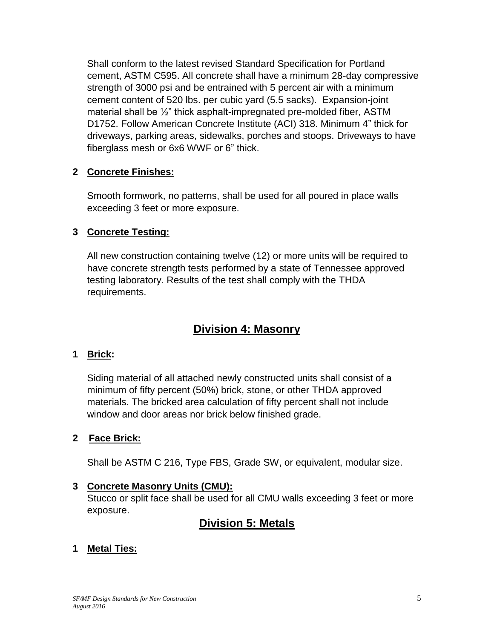Shall conform to the latest revised Standard Specification for Portland cement, ASTM C595. All concrete shall have a minimum 28-day compressive strength of 3000 psi and be entrained with 5 percent air with a minimum cement content of 520 lbs. per cubic yard (5.5 sacks). Expansion-joint material shall be ½" thick asphalt-impregnated pre-molded fiber, ASTM D1752. Follow American Concrete Institute (ACI) 318. Minimum 4" thick for driveways, parking areas, sidewalks, porches and stoops. Driveways to have fiberglass mesh or 6x6 WWF or 6" thick.

## **2 Concrete Finishes:**

Smooth formwork, no patterns, shall be used for all poured in place walls exceeding 3 feet or more exposure.

## **3 Concrete Testing:**

All new construction containing twelve (12) or more units will be required to have concrete strength tests performed by a state of Tennessee approved testing laboratory. Results of the test shall comply with the THDA requirements.

## **Division 4: Masonry**

## **1 Brick:**

Siding material of all attached newly constructed units shall consist of a minimum of fifty percent (50%) brick, stone, or other THDA approved materials. The bricked area calculation of fifty percent shall not include window and door areas nor brick below finished grade.

## **2 Face Brick:**

Shall be ASTM C 216, Type FBS, Grade SW, or equivalent, modular size.

## **3 Concrete Masonry Units (CMU):**

Stucco or split face shall be used for all CMU walls exceeding 3 feet or more exposure.

## **Division 5: Metals**

## **1 Metal Ties:**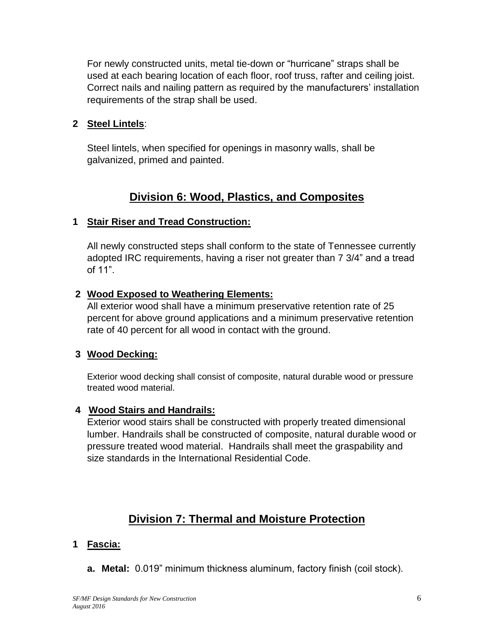For newly constructed units, metal tie-down or "hurricane" straps shall be used at each bearing location of each floor, roof truss, rafter and ceiling joist. Correct nails and nailing pattern as required by the manufacturers' installation requirements of the strap shall be used.

### **2 Steel Lintels**:

Steel lintels, when specified for openings in masonry walls, shall be galvanized, primed and painted.

## **Division 6: Wood, Plastics, and Composites**

## **1 Stair Riser and Tread Construction:**

All newly constructed steps shall conform to the state of Tennessee currently adopted IRC requirements, having a riser not greater than 7 3/4" and a tread of 11".

#### **2 Wood Exposed to Weathering Elements:**

All exterior wood shall have a minimum preservative retention rate of 25 percent for above ground applications and a minimum preservative retention rate of 40 percent for all wood in contact with the ground.

#### **3 Wood Decking:**

Exterior wood decking shall consist of composite, natural durable wood or pressure treated wood material.

#### **4 Wood Stairs and Handrails:**

Exterior wood stairs shall be constructed with properly treated dimensional lumber. Handrails shall be constructed of composite, natural durable wood or pressure treated wood material. Handrails shall meet the graspability and size standards in the International Residential Code.

## **Division 7: Thermal and Moisture Protection**

#### **1 Fascia:**

**a. Metal:** 0.019" minimum thickness aluminum, factory finish (coil stock).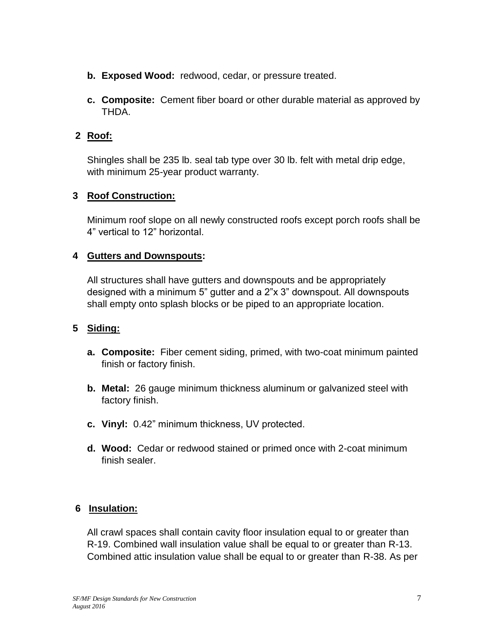- **b. Exposed Wood:** redwood, cedar, or pressure treated.
- **c. Composite:** Cement fiber board or other durable material as approved by THDA.

## **2 Roof:**

Shingles shall be 235 lb. seal tab type over 30 lb. felt with metal drip edge, with minimum 25-year product warranty.

## **3 Roof Construction:**

Minimum roof slope on all newly constructed roofs except porch roofs shall be 4" vertical to 12" horizontal.

## **4 Gutters and Downspouts:**

All structures shall have gutters and downspouts and be appropriately designed with a minimum 5" gutter and a 2"x 3" downspout. All downspouts shall empty onto splash blocks or be piped to an appropriate location.

## **5 Siding:**

- **a. Composite:** Fiber cement siding, primed, with two-coat minimum painted finish or factory finish.
- **b. Metal:** 26 gauge minimum thickness aluminum or galvanized steel with factory finish.
- **c. Vinyl:** 0.42" minimum thickness, UV protected.
- **d. Wood:** Cedar or redwood stained or primed once with 2-coat minimum finish sealer.

## **6 Insulation:**

All crawl spaces shall contain cavity floor insulation equal to or greater than R-19. Combined wall insulation value shall be equal to or greater than R-13. Combined attic insulation value shall be equal to or greater than R-38. As per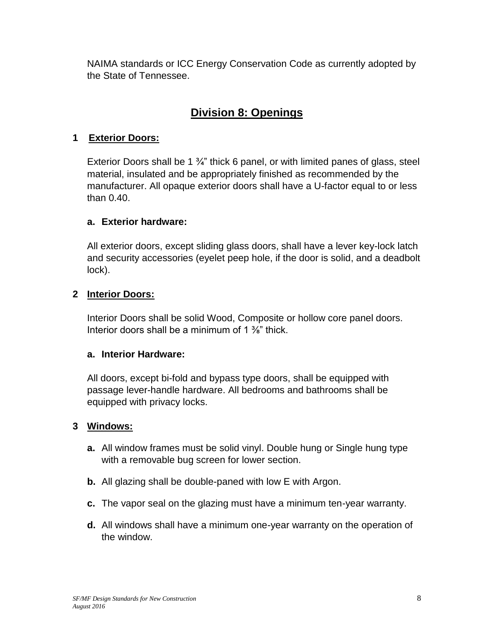NAIMA standards or ICC Energy Conservation Code as currently adopted by the State of Tennessee.

## **Division 8: Openings**

## **1 Exterior Doors:**

Exterior Doors shall be 1 ¾" thick 6 panel, or with limited panes of glass, steel material, insulated and be appropriately finished as recommended by the manufacturer. All opaque exterior doors shall have a U-factor equal to or less than 0.40.

## **a. Exterior hardware:**

All exterior doors, except sliding glass doors, shall have a lever key-lock latch and security accessories (eyelet peep hole, if the door is solid, and a deadbolt lock).

## **2 Interior Doors:**

Interior Doors shall be solid Wood, Composite or hollow core panel doors. Interior doors shall be a minimum of 1 <sup>3/4</sup> thick.

## **a. Interior Hardware:**

All doors, except bi-fold and bypass type doors, shall be equipped with passage lever-handle hardware. All bedrooms and bathrooms shall be equipped with privacy locks.

## **3 Windows:**

- **a.** All window frames must be solid vinyl. Double hung or Single hung type with a removable bug screen for lower section.
- **b.** All glazing shall be double-paned with low E with Argon.
- **c.** The vapor seal on the glazing must have a minimum ten-year warranty.
- **d.** All windows shall have a minimum one-year warranty on the operation of the window.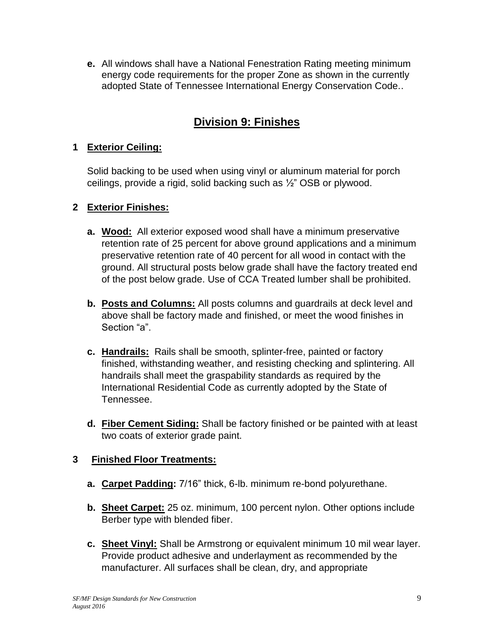**e.** All windows shall have a National Fenestration Rating meeting minimum energy code requirements for the proper Zone as shown in the currently adopted State of Tennessee International Energy Conservation Code..

## **Division 9: Finishes**

## **1 Exterior Ceiling:**

Solid backing to be used when using vinyl or aluminum material for porch ceilings, provide a rigid, solid backing such as ½" OSB or plywood.

## **2 Exterior Finishes:**

- **a. Wood:** All exterior exposed wood shall have a minimum preservative retention rate of 25 percent for above ground applications and a minimum preservative retention rate of 40 percent for all wood in contact with the ground. All structural posts below grade shall have the factory treated end of the post below grade. Use of CCA Treated lumber shall be prohibited.
- **b. Posts and Columns:** All posts columns and guardrails at deck level and above shall be factory made and finished, or meet the wood finishes in Section "a".
- **c. Handrails:** Rails shall be smooth, splinter-free, painted or factory finished, withstanding weather, and resisting checking and splintering. All handrails shall meet the graspability standards as required by the International Residential Code as currently adopted by the State of Tennessee.
- **d. Fiber Cement Siding:** Shall be factory finished or be painted with at least two coats of exterior grade paint.

## **3 Finished Floor Treatments:**

- **a. Carpet Padding:** 7/16" thick, 6-lb. minimum re-bond polyurethane.
- **b. Sheet Carpet:** 25 oz. minimum, 100 percent nylon. Other options include Berber type with blended fiber.
- **c. Sheet Vinyl:** Shall be Armstrong or equivalent minimum 10 mil wear layer. Provide product adhesive and underlayment as recommended by the manufacturer. All surfaces shall be clean, dry, and appropriate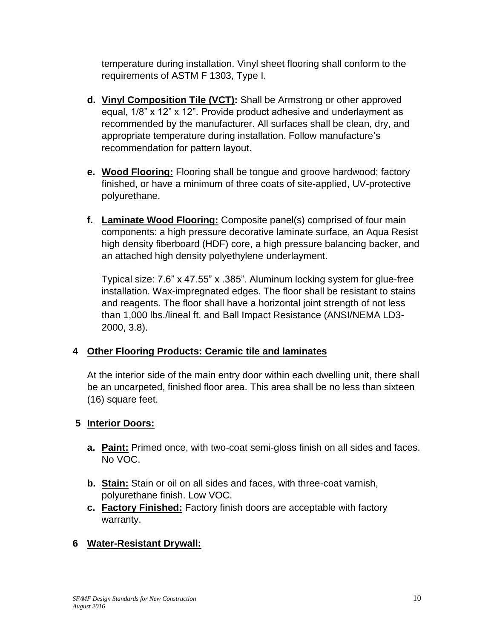temperature during installation. Vinyl sheet flooring shall conform to the requirements of ASTM F 1303, Type I.

- **d. Vinyl Composition Tile (VCT):** Shall be Armstrong or other approved equal, 1/8" x 12" x 12". Provide product adhesive and underlayment as recommended by the manufacturer. All surfaces shall be clean, dry, and appropriate temperature during installation. Follow manufacture's recommendation for pattern layout.
- **e. Wood Flooring:** Flooring shall be tongue and groove hardwood; factory finished, or have a minimum of three coats of site-applied, UV-protective polyurethane.
- **f. Laminate Wood Flooring:** Composite panel(s) comprised of four main components: a high pressure decorative laminate surface, an Aqua Resist high density fiberboard (HDF) core, a high pressure balancing backer, and an attached high density polyethylene underlayment.

Typical size: 7.6" x 47.55" x .385". Aluminum locking system for glue-free installation. Wax-impregnated edges. The floor shall be resistant to stains and reagents. The floor shall have a horizontal joint strength of not less than 1,000 lbs./lineal ft. and Ball Impact Resistance (ANSI/NEMA LD3- 2000, 3.8).

## **4 Other Flooring Products: Ceramic tile and laminates**

At the interior side of the main entry door within each dwelling unit, there shall be an uncarpeted, finished floor area. This area shall be no less than sixteen (16) square feet.

## **5 Interior Doors:**

- **a. Paint:** Primed once, with two-coat semi-gloss finish on all sides and faces. No VOC.
- **b. Stain:** Stain or oil on all sides and faces, with three-coat varnish, polyurethane finish. Low VOC.
- **c. Factory Finished:** Factory finish doors are acceptable with factory warranty.

## **6 Water-Resistant Drywall:**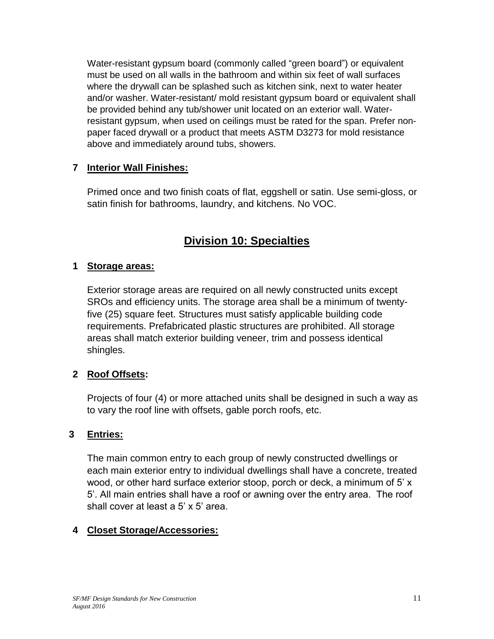Water-resistant gypsum board (commonly called "green board") or equivalent must be used on all walls in the bathroom and within six feet of wall surfaces where the drywall can be splashed such as kitchen sink, next to water heater and/or washer. Water-resistant/ mold resistant gypsum board or equivalent shall be provided behind any tub/shower unit located on an exterior wall. Waterresistant gypsum, when used on ceilings must be rated for the span. Prefer nonpaper faced drywall or a product that meets ASTM D3273 for mold resistance above and immediately around tubs, showers.

## **7 Interior Wall Finishes:**

Primed once and two finish coats of flat, eggshell or satin. Use semi-gloss, or satin finish for bathrooms, laundry, and kitchens. No VOC.

## **Division 10: Specialties**

## **1 Storage areas:**

Exterior storage areas are required on all newly constructed units except SROs and efficiency units. The storage area shall be a minimum of twentyfive (25) square feet. Structures must satisfy applicable building code requirements. Prefabricated plastic structures are prohibited. All storage areas shall match exterior building veneer, trim and possess identical shingles.

## **2 Roof Offsets:**

Projects of four (4) or more attached units shall be designed in such a way as to vary the roof line with offsets, gable porch roofs, etc.

## **3 Entries:**

The main common entry to each group of newly constructed dwellings or each main exterior entry to individual dwellings shall have a concrete, treated wood, or other hard surface exterior stoop, porch or deck, a minimum of 5' x 5'. All main entries shall have a roof or awning over the entry area. The roof shall cover at least a 5' x 5' area.

## **4 Closet Storage/Accessories:**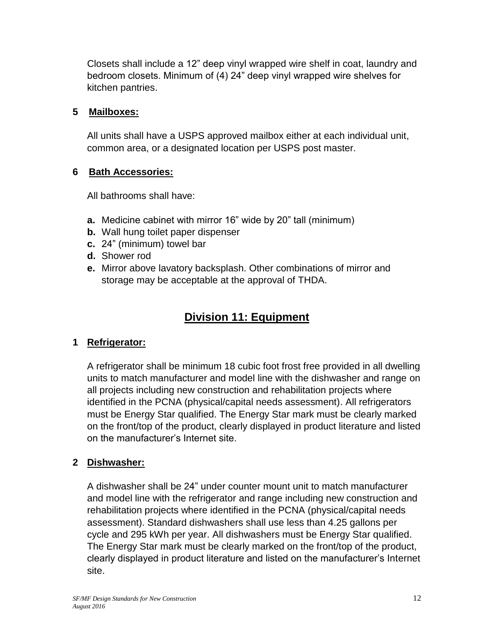Closets shall include a 12" deep vinyl wrapped wire shelf in coat, laundry and bedroom closets. Minimum of (4) 24" deep vinyl wrapped wire shelves for kitchen pantries.

## **5 Mailboxes:**

All units shall have a USPS approved mailbox either at each individual unit, common area, or a designated location per USPS post master.

## **6 Bath Accessories:**

All bathrooms shall have:

- **a.** Medicine cabinet with mirror 16" wide by 20" tall (minimum)
- **b.** Wall hung toilet paper dispenser
- **c.** 24" (minimum) towel bar
- **d.** Shower rod
- **e.** Mirror above lavatory backsplash. Other combinations of mirror and storage may be acceptable at the approval of THDA.

## **Division 11: Equipment**

## **1 Refrigerator:**

A refrigerator shall be minimum 18 cubic foot frost free provided in all dwelling units to match manufacturer and model line with the dishwasher and range on all projects including new construction and rehabilitation projects where identified in the PCNA (physical/capital needs assessment). All refrigerators must be Energy Star qualified. The Energy Star mark must be clearly marked on the front/top of the product, clearly displayed in product literature and listed on the manufacturer's Internet site.

## **2 Dishwasher:**

A dishwasher shall be 24" under counter mount unit to match manufacturer and model line with the refrigerator and range including new construction and rehabilitation projects where identified in the PCNA (physical/capital needs assessment). Standard dishwashers shall use less than 4.25 gallons per cycle and 295 kWh per year. All dishwashers must be Energy Star qualified. The Energy Star mark must be clearly marked on the front/top of the product, clearly displayed in product literature and listed on the manufacturer's Internet site.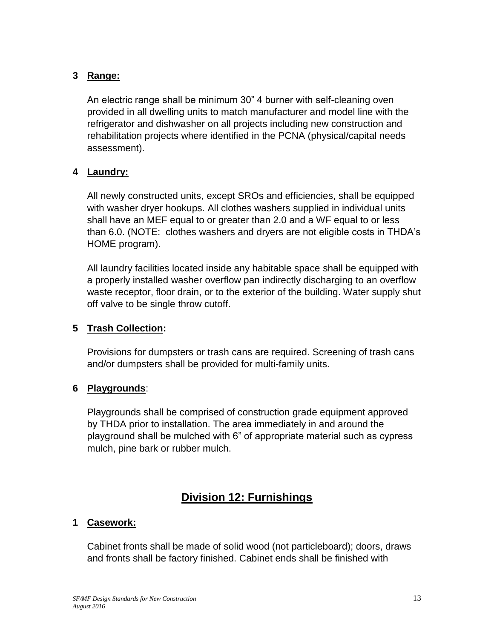## **3 Range:**

An electric range shall be minimum 30" 4 burner with self-cleaning oven provided in all dwelling units to match manufacturer and model line with the refrigerator and dishwasher on all projects including new construction and rehabilitation projects where identified in the PCNA (physical/capital needs assessment).

#### **4 Laundry:**

All newly constructed units, except SROs and efficiencies, shall be equipped with washer dryer hookups. All clothes washers supplied in individual units shall have an MEF equal to or greater than 2.0 and a WF equal to or less than 6.0. (NOTE: clothes washers and dryers are not eligible costs in THDA's HOME program).

All laundry facilities located inside any habitable space shall be equipped with a properly installed washer overflow pan indirectly discharging to an overflow waste receptor, floor drain, or to the exterior of the building. Water supply shut off valve to be single throw cutoff.

#### **5 Trash Collection:**

Provisions for dumpsters or trash cans are required. Screening of trash cans and/or dumpsters shall be provided for multi-family units.

#### **6 Playgrounds**:

Playgrounds shall be comprised of construction grade equipment approved by THDA prior to installation. The area immediately in and around the playground shall be mulched with 6" of appropriate material such as cypress mulch, pine bark or rubber mulch.

## **Division 12: Furnishings**

## **1 Casework:**

Cabinet fronts shall be made of solid wood (not particleboard); doors, draws and fronts shall be factory finished. Cabinet ends shall be finished with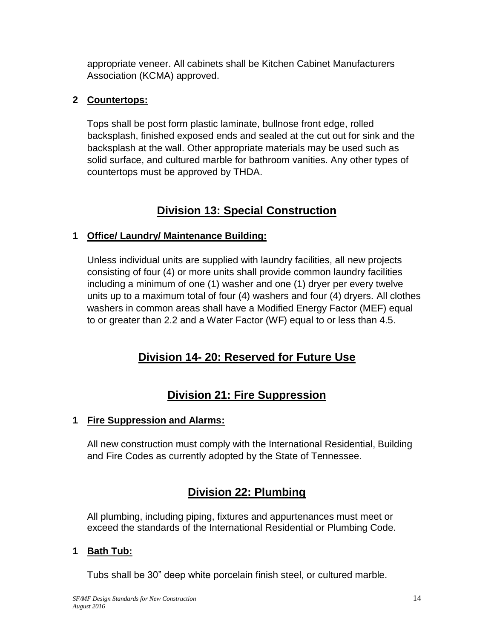appropriate veneer. All cabinets shall be Kitchen Cabinet Manufacturers Association (KCMA) approved.

## **2 Countertops:**

Tops shall be post form plastic laminate, bullnose front edge, rolled backsplash, finished exposed ends and sealed at the cut out for sink and the backsplash at the wall. Other appropriate materials may be used such as solid surface, and cultured marble for bathroom vanities. Any other types of countertops must be approved by THDA.

## **Division 13: Special Construction**

## **1 Office/ Laundry/ Maintenance Building:**

Unless individual units are supplied with laundry facilities, all new projects consisting of four (4) or more units shall provide common laundry facilities including a minimum of one (1) washer and one (1) dryer per every twelve units up to a maximum total of four (4) washers and four (4) dryers. All clothes washers in common areas shall have a Modified Energy Factor (MEF) equal to or greater than 2.2 and a Water Factor (WF) equal to or less than 4.5.

## **Division 14- 20: Reserved for Future Use**

## **Division 21: Fire Suppression**

## **1 Fire Suppression and Alarms:**

All new construction must comply with the International Residential, Building and Fire Codes as currently adopted by the State of Tennessee.

## **Division 22: Plumbing**

All plumbing, including piping, fixtures and appurtenances must meet or exceed the standards of the International Residential or Plumbing Code.

## **1 Bath Tub:**

Tubs shall be 30" deep white porcelain finish steel, or cultured marble.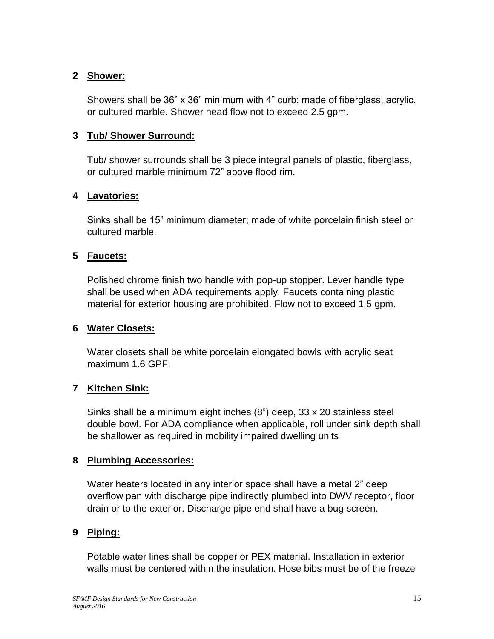#### **2 Shower:**

Showers shall be 36" x 36" minimum with 4" curb; made of fiberglass, acrylic, or cultured marble. Shower head flow not to exceed 2.5 gpm.

## **3 Tub/ Shower Surround:**

Tub/ shower surrounds shall be 3 piece integral panels of plastic, fiberglass, or cultured marble minimum 72" above flood rim.

#### **4 Lavatories:**

Sinks shall be 15" minimum diameter; made of white porcelain finish steel or cultured marble.

## **5 Faucets:**

Polished chrome finish two handle with pop-up stopper. Lever handle type shall be used when ADA requirements apply. Faucets containing plastic material for exterior housing are prohibited. Flow not to exceed 1.5 gpm.

## **6 Water Closets:**

Water closets shall be white porcelain elongated bowls with acrylic seat maximum 1.6 GPF.

## **7 Kitchen Sink:**

Sinks shall be a minimum eight inches (8") deep, 33 x 20 stainless steel double bowl. For ADA compliance when applicable, roll under sink depth shall be shallower as required in mobility impaired dwelling units

#### **8 Plumbing Accessories:**

Water heaters located in any interior space shall have a metal 2" deep overflow pan with discharge pipe indirectly plumbed into DWV receptor, floor drain or to the exterior. Discharge pipe end shall have a bug screen.

## **9 Piping:**

Potable water lines shall be copper or PEX material. Installation in exterior walls must be centered within the insulation. Hose bibs must be of the freeze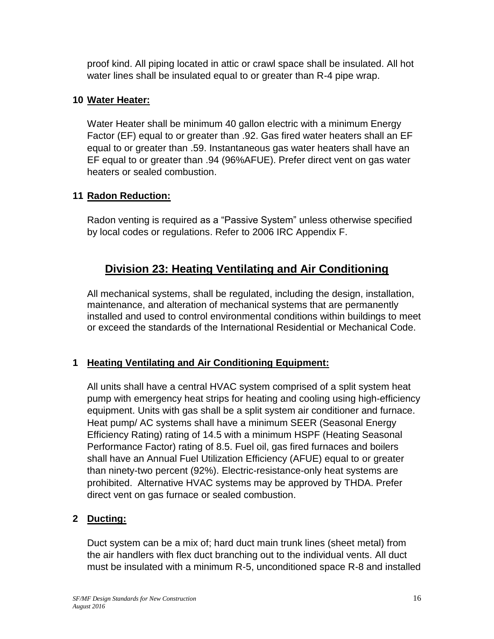proof kind. All piping located in attic or crawl space shall be insulated. All hot water lines shall be insulated equal to or greater than R-4 pipe wrap.

## **10 Water Heater:**

Water Heater shall be minimum 40 gallon electric with a minimum Energy Factor (EF) equal to or greater than .92. Gas fired water heaters shall an EF equal to or greater than .59. Instantaneous gas water heaters shall have an EF equal to or greater than .94 (96%AFUE). Prefer direct vent on gas water heaters or sealed combustion.

## **11 Radon Reduction:**

Radon venting is required as a "Passive System" unless otherwise specified by local codes or regulations. Refer to 2006 IRC Appendix F.

## **Division 23: Heating Ventilating and Air Conditioning**

All mechanical systems, shall be regulated, including the design, installation, maintenance, and alteration of mechanical systems that are permanently installed and used to control environmental conditions within buildings to meet or exceed the standards of the International Residential or Mechanical Code.

## **1 Heating Ventilating and Air Conditioning Equipment:**

All units shall have a central HVAC system comprised of a split system heat pump with emergency heat strips for heating and cooling using high-efficiency equipment. Units with gas shall be a split system air conditioner and furnace. Heat pump/ AC systems shall have a minimum SEER (Seasonal Energy Efficiency Rating) rating of 14.5 with a minimum HSPF (Heating Seasonal Performance Factor) rating of 8.5. Fuel oil, gas fired furnaces and boilers shall have an Annual Fuel Utilization Efficiency (AFUE) equal to or greater than ninety-two percent (92%). Electric-resistance-only heat systems are prohibited. Alternative HVAC systems may be approved by THDA. Prefer direct vent on gas furnace or sealed combustion.

## **2 Ducting:**

Duct system can be a mix of; hard duct main trunk lines (sheet metal) from the air handlers with flex duct branching out to the individual vents. All duct must be insulated with a minimum R-5, unconditioned space R-8 and installed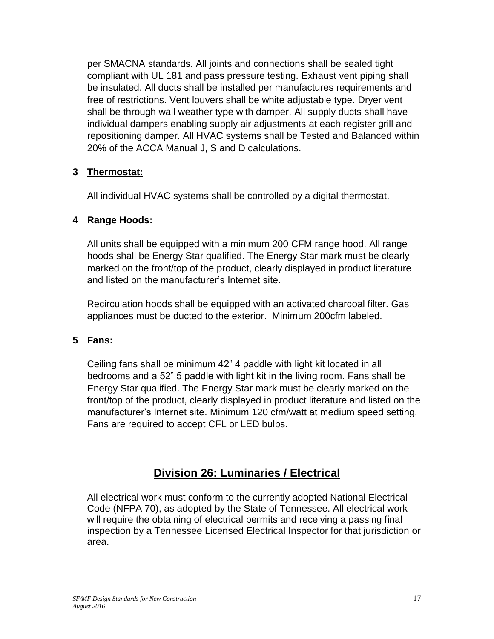per SMACNA standards. All joints and connections shall be sealed tight compliant with UL 181 and pass pressure testing. Exhaust vent piping shall be insulated. All ducts shall be installed per manufactures requirements and free of restrictions. Vent louvers shall be white adjustable type. Dryer vent shall be through wall weather type with damper. All supply ducts shall have individual dampers enabling supply air adjustments at each register grill and repositioning damper. All HVAC systems shall be Tested and Balanced within 20% of the ACCA Manual J, S and D calculations.

## **3 Thermostat:**

All individual HVAC systems shall be controlled by a digital thermostat.

## **4 Range Hoods:**

All units shall be equipped with a minimum 200 CFM range hood. All range hoods shall be Energy Star qualified. The Energy Star mark must be clearly marked on the front/top of the product, clearly displayed in product literature and listed on the manufacturer's Internet site.

Recirculation hoods shall be equipped with an activated charcoal filter. Gas appliances must be ducted to the exterior. Minimum 200cfm labeled.

## **5 Fans:**

Ceiling fans shall be minimum 42" 4 paddle with light kit located in all bedrooms and a 52" 5 paddle with light kit in the living room. Fans shall be Energy Star qualified. The Energy Star mark must be clearly marked on the front/top of the product, clearly displayed in product literature and listed on the manufacturer's Internet site. Minimum 120 cfm/watt at medium speed setting. Fans are required to accept CFL or LED bulbs.

## **Division 26: Luminaries / Electrical**

All electrical work must conform to the currently adopted National Electrical Code (NFPA 70), as adopted by the State of Tennessee. All electrical work will require the obtaining of electrical permits and receiving a passing final inspection by a Tennessee Licensed Electrical Inspector for that jurisdiction or area.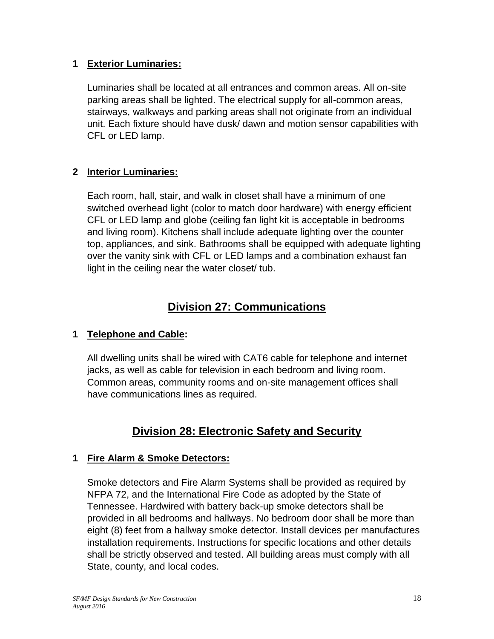## **1 Exterior Luminaries:**

Luminaries shall be located at all entrances and common areas. All on-site parking areas shall be lighted. The electrical supply for all-common areas, stairways, walkways and parking areas shall not originate from an individual unit. Each fixture should have dusk/ dawn and motion sensor capabilities with CFL or LED lamp.

## **2 Interior Luminaries:**

Each room, hall, stair, and walk in closet shall have a minimum of one switched overhead light (color to match door hardware) with energy efficient CFL or LED lamp and globe (ceiling fan light kit is acceptable in bedrooms and living room). Kitchens shall include adequate lighting over the counter top, appliances, and sink. Bathrooms shall be equipped with adequate lighting over the vanity sink with CFL or LED lamps and a combination exhaust fan light in the ceiling near the water closet/ tub.

## **Division 27: Communications**

## **1 Telephone and Cable:**

All dwelling units shall be wired with CAT6 cable for telephone and internet jacks, as well as cable for television in each bedroom and living room. Common areas, community rooms and on-site management offices shall have communications lines as required.

## **Division 28: Electronic Safety and Security**

## **1 Fire Alarm & Smoke Detectors:**

Smoke detectors and Fire Alarm Systems shall be provided as required by NFPA 72, and the International Fire Code as adopted by the State of Tennessee. Hardwired with battery back-up smoke detectors shall be provided in all bedrooms and hallways. No bedroom door shall be more than eight (8) feet from a hallway smoke detector. Install devices per manufactures installation requirements. Instructions for specific locations and other details shall be strictly observed and tested. All building areas must comply with all State, county, and local codes.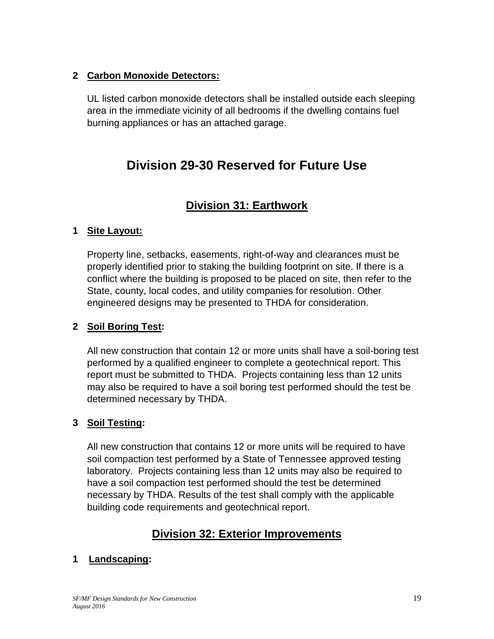## **2 Carbon Monoxide Detectors:**

UL listed carbon monoxide detectors shall be installed outside each sleeping area in the immediate vicinity of all bedrooms if the dwelling contains fuel burning appliances or has an attached garage.

## **Division 29-30 Reserved for Future Use**

## **Division 31: Earthwork**

## **1 Site Layout:**

Property line, setbacks, easements, right-of-way and clearances must be properly identified prior to staking the building footprint on site. If there is a conflict where the building is proposed to be placed on site, then refer to the State, county, local codes, and utility companies for resolution. Other engineered designs may be presented to THDA for consideration.

## **2 Soil Boring Test:**

All new construction that contain 12 or more units shall have a soil-boring test performed by a qualified engineer to complete a geotechnical report. This report must be submitted to THDA. Projects containing less than 12 units may also be required to have a soil boring test performed should the test be determined necessary by THDA.

## **3 Soil Testing:**

All new construction that contains 12 or more units will be required to have soil compaction test performed by a State of Tennessee approved testing laboratory. Projects containing less than 12 units may also be required to have a soil compaction test performed should the test be determined necessary by THDA. Results of the test shall comply with the applicable building code requirements and geotechnical report.

## **Division 32: Exterior Improvements**

## **1 Landscaping:**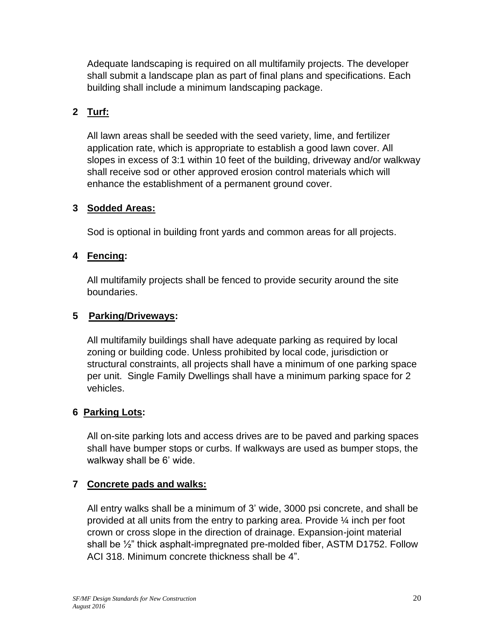Adequate landscaping is required on all multifamily projects. The developer shall submit a landscape plan as part of final plans and specifications. Each building shall include a minimum landscaping package.

## **2 Turf:**

All lawn areas shall be seeded with the seed variety, lime, and fertilizer application rate, which is appropriate to establish a good lawn cover. All slopes in excess of 3:1 within 10 feet of the building, driveway and/or walkway shall receive sod or other approved erosion control materials which will enhance the establishment of a permanent ground cover.

## **3 Sodded Areas:**

Sod is optional in building front yards and common areas for all projects.

## **4 Fencing:**

All multifamily projects shall be fenced to provide security around the site boundaries.

## **5 Parking/Driveways:**

All multifamily buildings shall have adequate parking as required by local zoning or building code. Unless prohibited by local code, jurisdiction or structural constraints, all projects shall have a minimum of one parking space per unit. Single Family Dwellings shall have a minimum parking space for 2 vehicles.

## **6 Parking Lots:**

All on-site parking lots and access drives are to be paved and parking spaces shall have bumper stops or curbs. If walkways are used as bumper stops, the walkway shall be 6' wide.

## **7 Concrete pads and walks:**

All entry walks shall be a minimum of 3' wide, 3000 psi concrete, and shall be provided at all units from the entry to parking area. Provide ¼ inch per foot crown or cross slope in the direction of drainage. Expansion-joint material shall be ½" thick asphalt-impregnated pre-molded fiber, ASTM D1752. Follow ACI 318. Minimum concrete thickness shall be 4".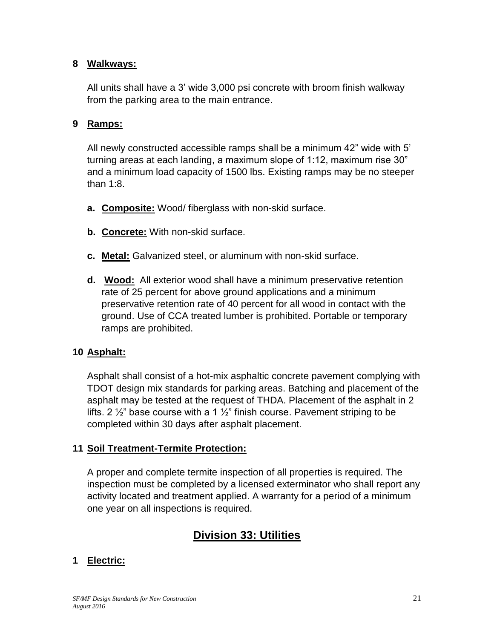#### **8 Walkways:**

All units shall have a 3' wide 3,000 psi concrete with broom finish walkway from the parking area to the main entrance.

#### **9 Ramps:**

All newly constructed accessible ramps shall be a minimum 42" wide with 5' turning areas at each landing, a maximum slope of 1:12, maximum rise 30" and a minimum load capacity of 1500 lbs. Existing ramps may be no steeper than 1:8.

- **a. Composite:** Wood/ fiberglass with non-skid surface.
- **b. Concrete:** With non-skid surface.
- **c. Metal:** Galvanized steel, or aluminum with non-skid surface.
- **d. Wood:** All exterior wood shall have a minimum preservative retention rate of 25 percent for above ground applications and a minimum preservative retention rate of 40 percent for all wood in contact with the ground. Use of CCA treated lumber is prohibited. Portable or temporary ramps are prohibited.

#### **10 Asphalt:**

Asphalt shall consist of a hot-mix asphaltic concrete pavement complying with TDOT design mix standards for parking areas. Batching and placement of the asphalt may be tested at the request of THDA. Placement of the asphalt in 2 lifts. 2  $\frac{1}{2}$  base course with a 1  $\frac{1}{2}$  finish course. Pavement striping to be completed within 30 days after asphalt placement.

#### **11 Soil Treatment-Termite Protection:**

A proper and complete termite inspection of all properties is required. The inspection must be completed by a licensed exterminator who shall report any activity located and treatment applied. A warranty for a period of a minimum one year on all inspections is required.

## **Division 33: Utilities**

## **1 Electric:**